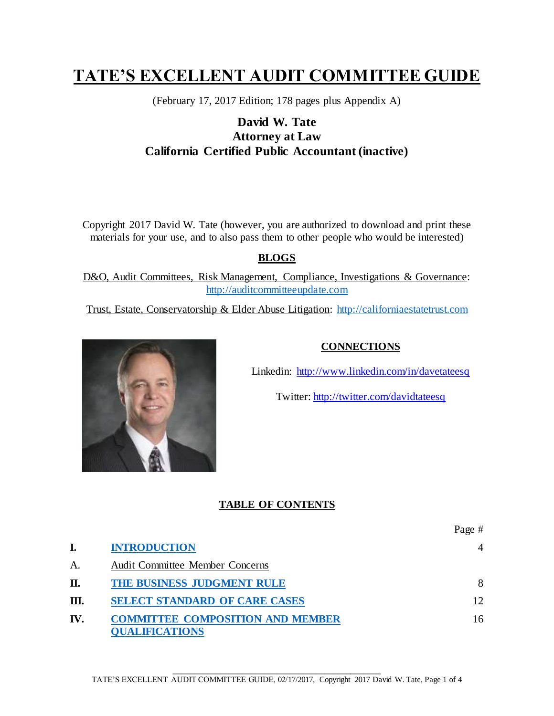# **TATE'S EXCELLENT AUDIT COMMITTEE GUIDE**

(February 17, 2017 Edition; 178 pages plus Appendix A)

## **David W. Tate Attorney at Law California Certified Public Accountant (inactive)**

Copyright 2017 David W. Tate (however, you are authorized to download and print these materials for your use, and to also pass them to other people who would be interested)

### **BLOGS**

D&O, Audit Committees, Risk Management, Compliance, Investigations & Governance: [http://auditcommitteeupdate.com](http://auditcommitteeupdate.com/)

Trust, Estate, Conservatorship & Elder Abuse Litigation: [http://californiaestatetrust.com](http://californiaestatetrust.com/)



#### **CONNECTIONS**

Linkedin:<http://www.linkedin.com/in/davetateesq>

Twitter:<http://twitter.com/davidtateesq>

#### **TABLE OF CONTENTS**

|     |                                                                  | Page #         |
|-----|------------------------------------------------------------------|----------------|
|     | <b>INTRODUCTION</b>                                              | $\overline{A}$ |
| А.  | <b>Audit Committee Member Concerns</b>                           |                |
| П.  | THE BUSINESS JUDGMENT RULE                                       | 8              |
| Ш.  | <b>SELECT STANDARD OF CARE CASES</b>                             | 12             |
| IV. | <b>COMMITTEE COMPOSITION AND MEMBER</b><br><b>QUALIFICATIONS</b> | 16             |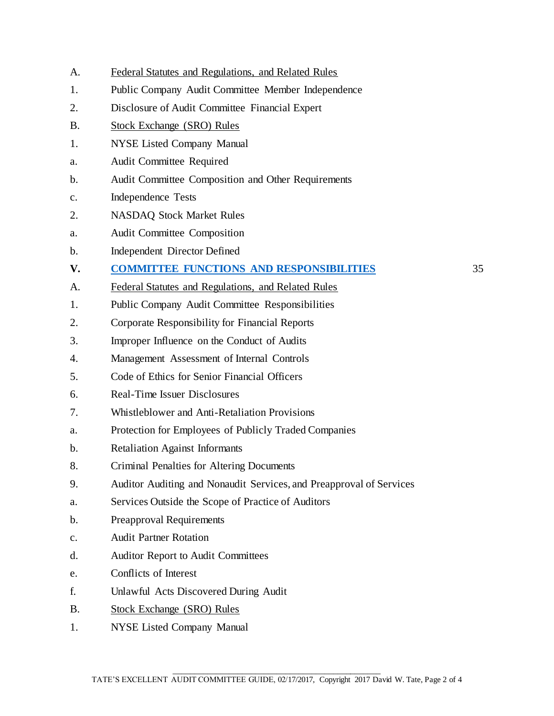- A. Federal Statutes and Regulations, and Related Rules
- 1. Public Company Audit Committee Member Independence
- 2. Disclosure of Audit Committee Financial Expert
- B. Stock Exchange (SRO) Rules
- 1. NYSE Listed Company Manual
- a. Audit Committee Required
- b. Audit Committee Composition and Other Requirements
- c. Independence Tests
- 2. NASDAQ Stock Market Rules
- a. Audit Committee Composition
- b. Independent Director Defined
- **V. COMMITTEE FUNCTIONS AND RESPONSIBILITIES** 35
- A. Federal Statutes and Regulations, and Related Rules
- 1. Public Company Audit Committee Responsibilities
- 2. Corporate Responsibility for Financial Reports
- 3. Improper Influence on the Conduct of Audits
- 4. Management Assessment of Internal Controls
- 5. Code of Ethics for Senior Financial Officers
- 6. Real-Time Issuer Disclosures
- 7. Whistleblower and Anti-Retaliation Provisions
- a. Protection for Employees of Publicly Traded Companies
- b. Retaliation Against Informants
- 8. Criminal Penalties for Altering Documents
- 9. Auditor Auditing and Nonaudit Services, and Preapproval of Services
- a. Services Outside the Scope of Practice of Auditors
- b. Preapproval Requirements
- c. Audit Partner Rotation
- d. Auditor Report to Audit Committees
- e. Conflicts of Interest
- f. Unlawful Acts Discovered During Audit
- B. Stock Exchange (SRO) Rules
- 1. NYSE Listed Company Manual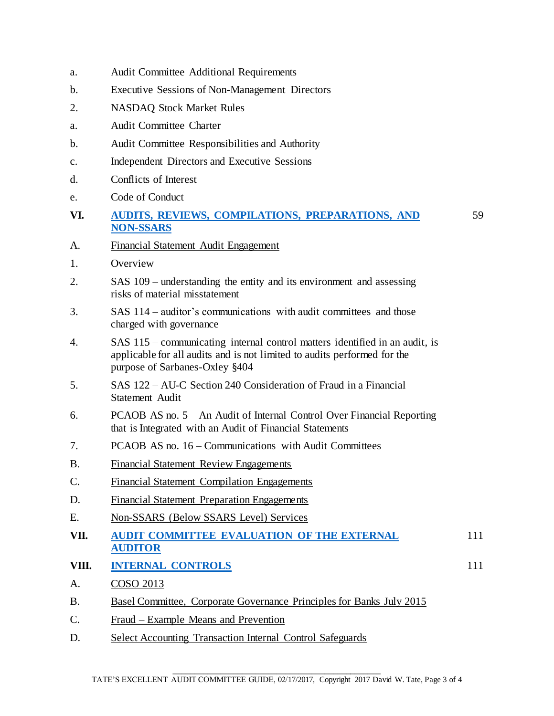- a. Audit Committee Additional Requirements
- b. Executive Sessions of Non-Management Directors
- 2. NASDAQ Stock Market Rules
- a. Audit Committee Charter
- b. Audit Committee Responsibilities and Authority
- c. Independent Directors and Executive Sessions
- d. Conflicts of Interest
- e. Code of Conduct
- **VI. AUDITS, REVIEWS, COMPILATIONS, PREPARATIONS, AND NON-SSARS**

59

- A. Financial Statement Audit Engagement
- 1. Overview
- 2. SAS 109 understanding the entity and its environment and assessing risks of material misstatement
- 3. SAS 114 auditor's communications with audit committees and those charged with governance
- 4. SAS 115 communicating internal control matters identified in an audit, is applicable for all audits and is not limited to audits performed for the purpose of Sarbanes-Oxley §404
- 5. SAS 122 AU-C Section 240 Consideration of Fraud in a Financial Statement Audit
- 6. PCAOB AS no. 5 An Audit of Internal Control Over Financial Reporting that is Integrated with an Audit of Financial Statements
- 7. PCAOB AS no. 16 Communications with Audit Committees
- B. Financial Statement Review Engagements
- C. Financial Statement Compilation Engagements
- D. Financial Statement Preparation Engagements
- E. Non-SSARS (Below SSARS Level) Services
- **VII. AUDIT COMMITTEE EVALUATION OF THE EXTERNAL AUDITOR** 111
- **VIII. INTERNAL CONTROLS** 111
- A. COSO 2013
- B. Basel Committee, Corporate Governance Principles for Banks July 2015
- C. Fraud Example Means and Prevention
- D. Select Accounting Transaction Internal Control Safeguards